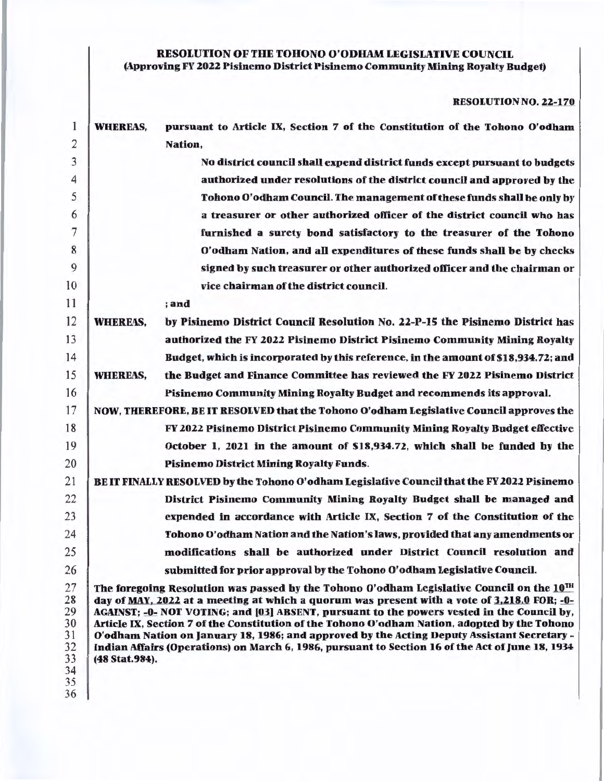## RESOLUTION OF THE TOHONO O'ODHAM LEGISLATIVE COUNCIL (Approving FY 2022 Pisinemo District Pislnemo Community Mining Royalty Budget)

RESOLUTION NO. 22-170

| 1                    | <b>WHEREAS,</b> | pursuant to Article IX, Section 7 of the Constitution of the Tohono O'odham                                                                                                                                                                                                                                                                                                               |
|----------------------|-----------------|-------------------------------------------------------------------------------------------------------------------------------------------------------------------------------------------------------------------------------------------------------------------------------------------------------------------------------------------------------------------------------------------|
| $\overline{2}$       |                 | Nation,                                                                                                                                                                                                                                                                                                                                                                                   |
| 3                    |                 | No district council shall expend district funds except pursuant to budgets                                                                                                                                                                                                                                                                                                                |
| 4                    |                 | authorized under resolutions of the district council and approved by the                                                                                                                                                                                                                                                                                                                  |
| 5                    |                 | Tohono O'odham Council. The management of these funds shall be only by                                                                                                                                                                                                                                                                                                                    |
| 6                    |                 | a treasurer or other authorized officer of the district council who has                                                                                                                                                                                                                                                                                                                   |
| 7                    |                 | furnished a surety bond satisfactory to the treasurer of the Tohono                                                                                                                                                                                                                                                                                                                       |
| 8                    |                 | O'odham Nation, and all expenditures of these funds shall be by checks                                                                                                                                                                                                                                                                                                                    |
| 9                    |                 | signed by such treasurer or other authorized officer and the chairman or                                                                                                                                                                                                                                                                                                                  |
| 10                   |                 | vice chairman of the district council.                                                                                                                                                                                                                                                                                                                                                    |
| 11                   |                 | ; and                                                                                                                                                                                                                                                                                                                                                                                     |
| 12                   | <b>WHEREAS,</b> | by Pisinemo District Council Resolution No. 22-P-15 the Pisinemo District has                                                                                                                                                                                                                                                                                                             |
| 13                   |                 | authorized the FY 2022 Pisinemo District Pisinemo Community Mining Royalty                                                                                                                                                                                                                                                                                                                |
| 14                   |                 | Budget, which is incorporated by this reference, in the amount of \$18,934.72; and                                                                                                                                                                                                                                                                                                        |
| 15                   | <b>WHEREAS,</b> | the Budget and Finance Committee has reviewed the FY 2022 Pisinemo District                                                                                                                                                                                                                                                                                                               |
| 16                   |                 | Pisinemo Community Mining Royalty Budget and recommends its approval.                                                                                                                                                                                                                                                                                                                     |
| 17                   |                 | NOW, THEREFORE, BE IT RESOLVED that the Tohono O'odham Legislative Council approves the                                                                                                                                                                                                                                                                                                   |
| 18                   |                 | FY 2022 Pisinemo District Pisinemo Community Mining Royalty Budget effective                                                                                                                                                                                                                                                                                                              |
| 19                   |                 | October 1, 2021 in the amount of \$18,934.72, which shall be funded by the                                                                                                                                                                                                                                                                                                                |
| 20                   |                 | <b>Pisinemo District Mining Royalty Funds.</b>                                                                                                                                                                                                                                                                                                                                            |
| 21                   |                 | BE IT FINALLY RESOLVED by the Tohono O'odham Legislative Council that the FY 2022 Pisinemo                                                                                                                                                                                                                                                                                                |
| 22                   |                 | District Pisinemo Community Mining Royalty Budget shall be managed and                                                                                                                                                                                                                                                                                                                    |
| 23                   |                 | expended in accordance with Article IX, Section 7 of the Constitution of the                                                                                                                                                                                                                                                                                                              |
| 24                   |                 | Tohono O'odham Nation and the Nation's laws, provided that any amendments or                                                                                                                                                                                                                                                                                                              |
| 25                   |                 | modifications shall be authorized under District Council resolution and                                                                                                                                                                                                                                                                                                                   |
| 26                   |                 | submitted for prior approval by the Tohono O'odham Legislative Council.                                                                                                                                                                                                                                                                                                                   |
| 27                   |                 | The foregoing Resolution was passed by the Tohono O'odham Legislative Council on the 10TH                                                                                                                                                                                                                                                                                                 |
| 28<br>29<br>30<br>31 |                 | day of MAY, 2022 at a meeting at which a quorum was present with a vote of 3,218.0 FOR; -0-<br>AGAINST; -0- NOT VOTING; and [03] ABSENT, pursuant to the powers vested in the Council by,<br>Article IX, Section 7 of the Constitution of the Tohono O'odham Nation, adopted by the Tohono<br>O'odham Nation on January 18, 1986; and approved by the Acting Deputy Assistant Secretary - |
| 32                   |                 | Indian Affairs (Operations) on March 6, 1986, pursuant to Section 16 of the Act of June 18, 1934                                                                                                                                                                                                                                                                                          |
| 33<br>34             | (48 Stat.984).  |                                                                                                                                                                                                                                                                                                                                                                                           |
| 35                   |                 |                                                                                                                                                                                                                                                                                                                                                                                           |
| 36                   |                 |                                                                                                                                                                                                                                                                                                                                                                                           |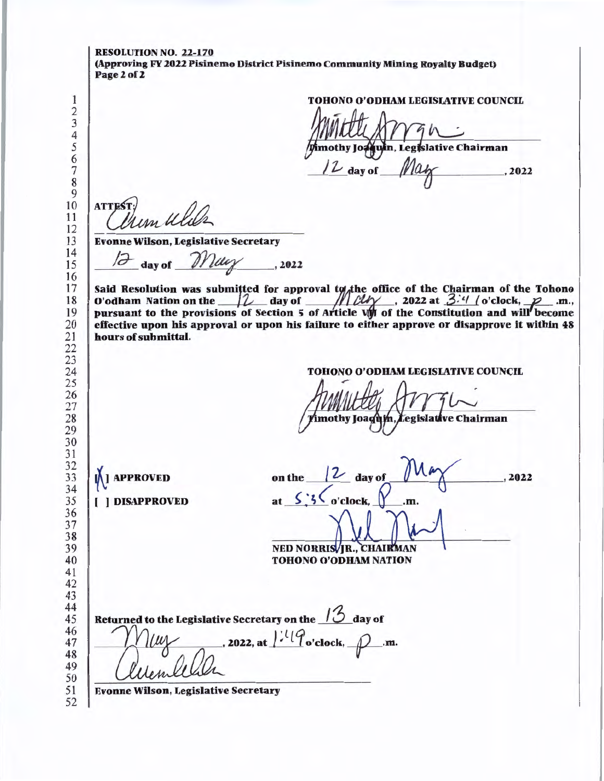RESOLUTION NO. 22-170 (Approving FY 2022 Pisinemo District Pisinemo Community Mining Royalty Budget) Page 2 of 2 TOHONO O'ODHAM LEGISIATIVE COUNCIL imothy Joaquin, Legislative Chairman day of  $, 2022$  **ATTEST**  Evonne Wilson, Legislative Secretary day of  $Muy$ , 2022 Said Resolution was submitted for approval to the office of the Chairman of the Tohono O'odham Nation on the  $\mathcal{U}_{\text{day}}$  day of  $\mathcal{U}_{\text{day}}$ , 2022 at  $\mathcal{Z}^{2}/\mathcal{U}$  o'clock,  $\mathcal{P}_{\text{day}}$ .m., pursuant to the provisions of Section 5 of Article VM of the Constitution and will become effective upon his approval or upon his failure to either approve or disapprove lt within 48 hours of submittal. TOHONO O'ODHAM LEGISIATIVE COUNCIL imothy Joaquin, Legislative Chairman on the  $\sqrt{2}$  day of **M** APPROVED , 2022 at  $\frac{\zeta}{\zeta}$  :  $\frac{\zeta}{\zeta}$  o'clock,  $\gamma$  .m. [ ) DISAPPROVED NED NORRIS JR., CHAIRMAN TOHONO O'O<br>
turned to the Legislative Secretary on the <u>12</u><br>  $\bigcap_{\alpha\in\mathbb{Z}}\{U_{\alpha}\}$ , 2022, at  $\bigcap_{\alpha\in\mathbb{Z}}\{U_{\alpha}\}$ TOHONO O'ODHAM NATION to the Legislative Secretary on the day of Returned , 2022, at  $l^{1.1}$  o'clock,  $\rho$  .m. Evonne Wilson, Legislative Secretary